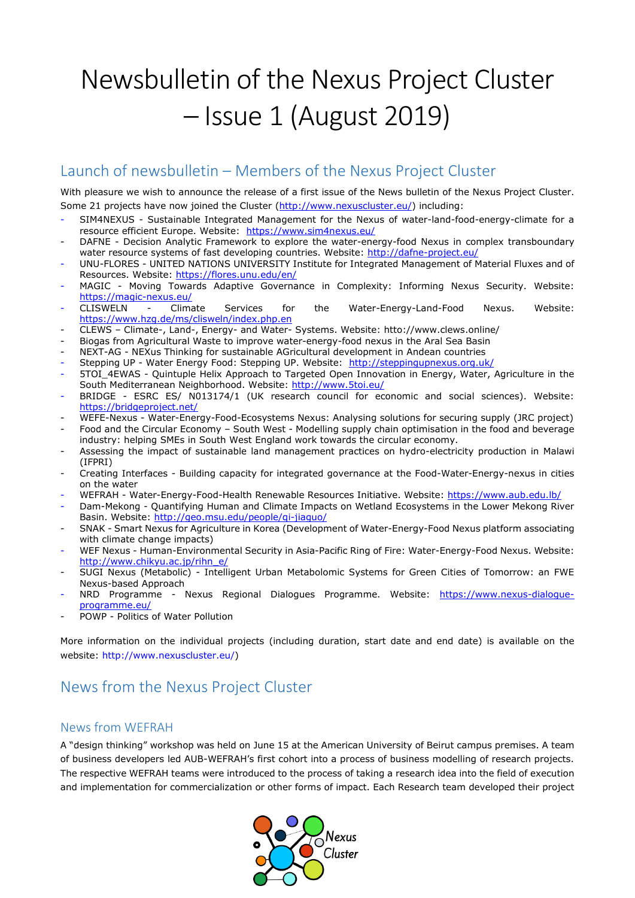# Newsbulletin of the Nexus Project Cluster – Issue 1 (August 2019)

### Launch of newsbulletin – Members of the Nexus Project Cluster

With pleasure we wish to announce the release of a first issue of the News bulletin of the Nexus Project Cluster. Some 21 projects have now joined the Cluster [\(http://www.nexuscluster.eu/\)](http://www.nexuscluster.eu/) including:

- SIM4NEXUS Sustainable Integrated Management for the Nexus of water-land-food-energy-climate for a resource efficient Europe. Website: <https://www.sim4nexus.eu/>
- DAFNE Decision Analytic Framework to explore the water-energy-food Nexus in complex transboundary water resource systems of fast developing countries. Website:<http://dafne-project.eu/>
- UNU-FLORES UNITED NATIONS UNIVERSITY Institute for Integrated Management of Material Fluxes and of Resources. Website:<https://flores.unu.edu/en/>
- MAGIC Moving Towards Adaptive Governance in Complexity: Informing Nexus Security. Website: <https://magic-nexus.eu/>
- CLISWELN Climate Services for the Water-Energy-Land-Food Nexus. Website: <https://www.hzg.de/ms/clisweln/index.php.en>
- CLEWS Climate-, Land-, Energy- and Water- Systems. Website: htto://www.clews.online/
- Biogas from Agricultural Waste to improve water-energy-food nexus in the Aral Sea Basin
- NEXT-AG NEXus Thinking for sustainable AGricultural development in Andean countries
- Stepping UP Water Energy Food: Stepping UP. Website: <http://steppingupnexus.org.uk/>
- 5TOI\_4EWAS Quintuple Helix Approach to Targeted Open Innovation in Energy, Water, Agriculture in the South Mediterranean Neighborhood. Website:<http://www.5toi.eu/>
- BRIDGE ESRC ES/ N013174/1 (UK research council for economic and social sciences). Website: <https://bridgeproject.net/>
- WEFE-Nexus Water-Energy-Food-Ecosystems Nexus: Analysing solutions for securing supply (JRC project)
- Food and the Circular Economy South West Modelling supply chain optimisation in the food and beverage industry: helping SMEs in South West England work towards the circular economy.
- Assessing the impact of sustainable land management practices on hydro-electricity production in Malawi (IFPRI)
- Creating Interfaces Building capacity for integrated governance at the Food-Water-Energy-nexus in cities on the water
- WEFRAH Water-Energy-Food-Health Renewable Resources Initiative. Website:<https://www.aub.edu.lb/>
- Dam-Mekong Quantifying Human and Climate Impacts on Wetland Ecosystems in the Lower Mekong River Basin. Website:<http://geo.msu.edu/people/qi-jiaguo/>
- SNAK Smart Nexus for Agriculture in Korea (Development of Water-Energy-Food Nexus platform associating with climate change impacts)
- WEF Nexus Human-Environmental Security in Asia-Pacific Ring of Fire: Water-Energy-Food Nexus. Website: [http://www.chikyu.ac.jp/rihn\\_e/](http://www.chikyu.ac.jp/rihn_e/)
- SUGI Nexus (Metabolic) Intelligent Urban Metabolomic Systems for Green Cities of Tomorrow: an FWE Nexus-based Approach
- NRD Programme Nexus Regional Dialogues Programme. Website: [https://www.nexus-dialogue](https://www.nexus-dialogue-programme.eu/)[programme.eu/](https://www.nexus-dialogue-programme.eu/)
- POWP Politics of Water Pollution

More information on the individual projects (including duration, start date and end date) is available on the website: [http://www.nexuscluster.eu/\)](http://www.nexuscluster.eu/)

# News from the Nexus Project Cluster

#### News from WEFRAH

A "design thinking" workshop was held on June 15 at the American University of Beirut campus premises. A team of business developers led AUB-WEFRAH's first cohort into a process of business modelling of research projects. The respective WEFRAH teams were introduced to the process of taking a research idea into the field of execution and implementation for commercialization or other forms of impact. Each Research team developed their project

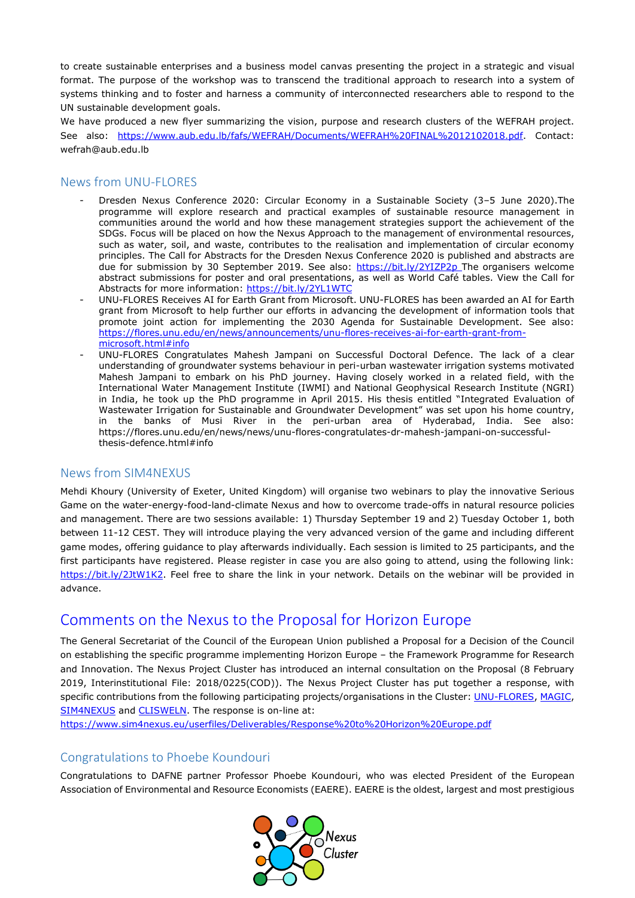to create sustainable enterprises and a business model canvas presenting the project in a strategic and visual format. The purpose of the workshop was to transcend the traditional approach to research into a system of systems thinking and to foster and harness a community of interconnected researchers able to respond to the UN sustainable development goals.

We have produced a new flyer summarizing the vision, purpose and research clusters of the WEFRAH project. See also: [https://www.aub.edu.lb/fafs/WEFRAH/Documents/WEFRAH%20FINAL%2012102018.pdf.](https://www.aub.edu.lb/fafs/WEFRAH/Documents/WEFRAH%20FINAL%2012102018.pdf) Contact: wefrah@aub.edu.lb

#### News from UNU-FLORES

- Dresden Nexus Conference 2020: Circular Economy in a Sustainable Society (3–5 June 2020).The programme will explore research and practical examples of sustainable resource management in communities around the world and how these management strategies support the achievement of the SDGs. Focus will be placed on how the Nexus Approach to the management of environmental resources, such as water, soil, and waste, contributes to the realisation and implementation of circular economy principles. The Call for Abstracts for the Dresden Nexus Conference 2020 is published and abstracts are due for submission by 30 September 2019. See also:<https://bit.ly/2YIZP2p> The organisers welcome abstract submissions for poster and oral presentations, as well as World Café tables. View the Call for Abstracts for more information:<https://bit.ly/2YL1WTC>
- UNU-FLORES Receives AI for Earth Grant from Microsoft. UNU-FLORES has been awarded an AI for Earth grant from Microsoft to help further our efforts in advancing the development of [information tools](https://flores.unu.edu/en/news/news/information-and-knowledge-tools-to-increase-uptake-of-nature-based-solutions.html) that promote joint action for implementing the 2030 Agenda for Sustainable Development. See also: [https://flores.unu.edu/en/news/announcements/unu-flores-receives-ai-for-earth-grant-from](https://flores.unu.edu/en/news/announcements/unu-flores-receives-ai-for-earth-grant-from-microsoft.html#info)[microsoft.html#info](https://flores.unu.edu/en/news/announcements/unu-flores-receives-ai-for-earth-grant-from-microsoft.html#info)
- UNU-FLORES Congratulates Mahesh Jampani on Successful Doctoral Defence. The lack of a clear understanding of groundwater systems behaviour in peri-urban wastewater irrigation systems motivated [Mahesh Jampani](https://unu.edu/experts/mahesh-jampani.html#profile) to embark on his PhD journey. Having closely worked in a related field, with the International Water Management Institute (IWMI) and National Geophysical Research Institute (NGRI) in India, he took up the PhD programme in April 2015. His thesis entitled ["Integrated Evaluation of](https://flores.unu.edu/en/research/projects/integrated-evaluation-of-wastewater-irrigation-for-sustainable-agriculture-and-groundwater-development.html)  [Wastewater Irrigation for Sustainable and Groundwat](https://flores.unu.edu/en/research/projects/integrated-evaluation-of-wastewater-irrigation-for-sustainable-agriculture-and-groundwater-development.html)er Development" was set upon his home country, in the banks of Musi River in the peri-urban area of Hyderabad, India. See also: https://flores.unu.edu/en/news/news/unu-flores-congratulates-dr-mahesh-jampani-on-successfulthesis-defence.html#info

#### News from SIM4NEXUS

Mehdi Khoury (University of Exeter, United Kingdom) will organise two webinars to play the innovative Serious Game on the water-energy-food-land-climate Nexus and how to overcome trade-offs in natural resource policies and management. There are two sessions available: 1) Thursday September 19 and 2) Tuesday October 1, both between 11-12 CEST. They will introduce playing the very advanced version of the game and including different game modes, offering guidance to play afterwards individually. Each session is limited to 25 participants, and the first participants have registered. Please register in case you are also going to attend, using the following link: [https://bit.ly/2JtW1K2.](https://bit.ly/2JtW1K2) Feel free to share the link in your network. Details on the webinar will be provided in advance.

## [Comments on the Nexus to the Proposal for Horizon Europe](https://www.sim4nexus.eu/page.php?wert=News#collap203)

The General Secretariat of the Council of the European Union published a Proposal for a Decision of the Council on establishing the specific programme implementing Horizon Europe – the Framework Programme for Research and Innovation. The Nexus Project Cluster has introduced an internal consultation on the Proposal (8 February 2019, Interinstitutional File: 2018/0225(COD)). The Nexus Project Cluster has put together a response, with specific contributions from the following participating projects/organisations in the Cluster[: UNU-FLORES,](https://flores.unu.edu/en/) [MAGIC,](https://magic-nexus.eu/) [SIM4NEXUS](http://www.sim4nexus.eu/) and [CLISWELN.](https://www.hzg.de/ms/clisweln/index.php.en) The response is on-line at:

<https://www.sim4nexus.eu/userfiles/Deliverables/Response%20to%20Horizon%20Europe.pdf>

#### Congratulations to Phoebe Koundouri

Congratulations to DAFNE partner Professor Phoebe Koundouri, who was elected President of the European Association of Environmental and Resource Economists (EAERE). EAERE is the oldest, largest and most prestigious